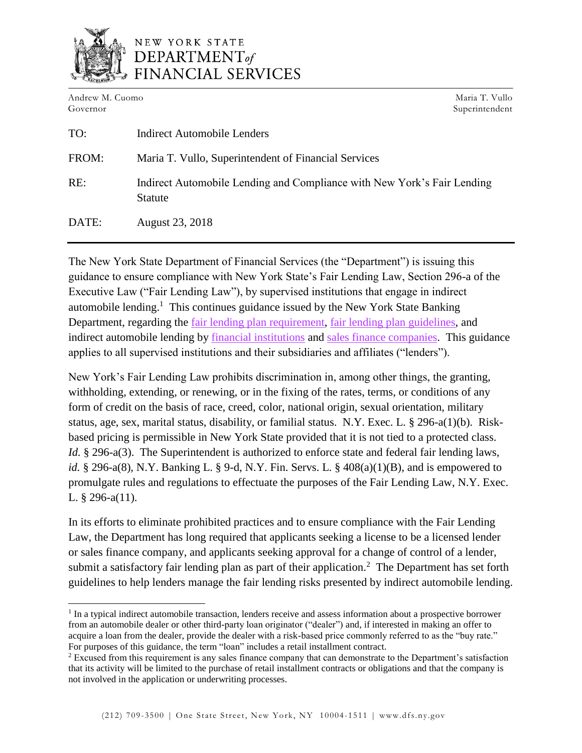

## NEW YORK STATE  $$ FINANCIAL SERVICES

Andrew M. Cuomo Governor

 $\overline{a}$ 

Maria T. Vullo Superintendent

| TO:   | <b>Indirect Automobile Lenders</b>                                                        |
|-------|-------------------------------------------------------------------------------------------|
| FROM: | Maria T. Vullo, Superintendent of Financial Services                                      |
| RE:   | Indirect Automobile Lending and Compliance with New York's Fair Lending<br><b>Statute</b> |
| DATE: | August 23, 2018                                                                           |

The New York State Department of Financial Services (the "Department") is issuing this guidance to ensure compliance with New York State's Fair Lending Law, Section 296-a of the Executive Law ("Fair Lending Law"), by supervised institutions that engage in indirect automobile lending.<sup>1</sup> This continues guidance issued by the New York State Banking Department, regarding the [fair lending plan requirement,](https://www.dfs.ny.gov/legal/industry/il990719.htm) [fair lending plan guidelines,](https://www.dfs.ny.gov/legal/industry/il000218.htm) and indirect automobile lending by [financial institutions](https://www.dfs.ny.gov/legal/industry/il010215.htm) and [sales finance companies.](https://www.dfs.ny.gov/legal/industry/il010215a.htm) This guidance applies to all supervised institutions and their subsidiaries and affiliates ("lenders").

New York's Fair Lending Law prohibits discrimination in, among other things, the granting, withholding, extending, or renewing, or in the fixing of the rates, terms, or conditions of any form of credit on the basis of race, creed, color, national origin, sexual orientation, military status, age, sex, marital status, disability, or familial status. N.Y. Exec. L. § 296-a(1)(b). Riskbased pricing is permissible in New York State provided that it is not tied to a protected class. *Id.* § 296-a(3). The Superintendent is authorized to enforce state and federal fair lending laws, *id.* § 296-a(8), N.Y. Banking L. § 9-d, N.Y. Fin. Servs. L. § 408(a)(1)(B), and is empowered to promulgate rules and regulations to effectuate the purposes of the Fair Lending Law, N.Y. Exec. L. § 296-a(11).

In its efforts to eliminate prohibited practices and to ensure compliance with the Fair Lending Law, the Department has long required that applicants seeking a license to be a licensed lender or sales finance company, and applicants seeking approval for a change of control of a lender, submit a satisfactory fair lending plan as part of their application.<sup>2</sup> The Department has set forth guidelines to help lenders manage the fair lending risks presented by indirect automobile lending.

<sup>&</sup>lt;sup>1</sup> In a typical indirect automobile transaction, lenders receive and assess information about a prospective borrower from an automobile dealer or other third-party loan originator ("dealer") and, if interested in making an offer to acquire a loan from the dealer, provide the dealer with a risk-based price commonly referred to as the "buy rate." For purposes of this guidance, the term "loan" includes a retail installment contract.

<sup>2</sup> Excused from this requirement is any sales finance company that can demonstrate to the Department's satisfaction that its activity will be limited to the purchase of retail installment contracts or obligations and that the company is not involved in the application or underwriting processes.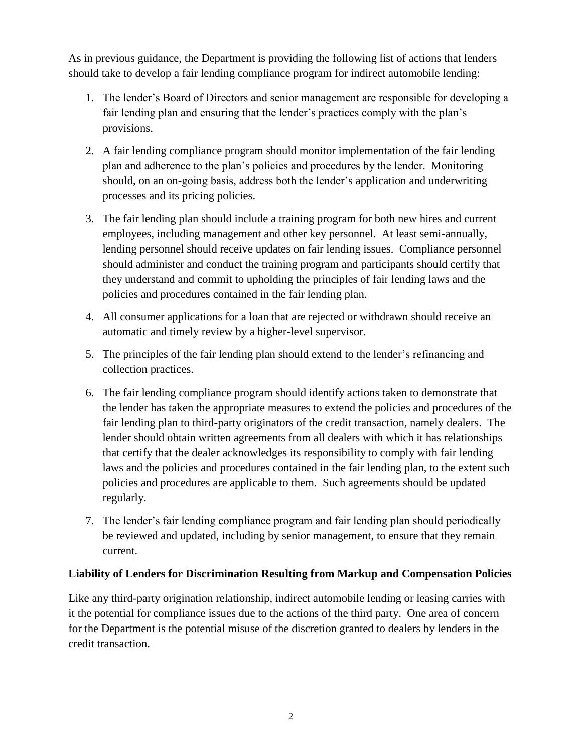As in previous guidance, the Department is providing the following list of actions that lenders should take to develop a fair lending compliance program for indirect automobile lending:

- 1. The lender's Board of Directors and senior management are responsible for developing a fair lending plan and ensuring that the lender's practices comply with the plan's provisions.
- 2. A fair lending compliance program should monitor implementation of the fair lending plan and adherence to the plan's policies and procedures by the lender. Monitoring should, on an on-going basis, address both the lender's application and underwriting processes and its pricing policies.
- 3. The fair lending plan should include a training program for both new hires and current employees, including management and other key personnel. At least semi-annually, lending personnel should receive updates on fair lending issues. Compliance personnel should administer and conduct the training program and participants should certify that they understand and commit to upholding the principles of fair lending laws and the policies and procedures contained in the fair lending plan.
- 4. All consumer applications for a loan that are rejected or withdrawn should receive an automatic and timely review by a higher-level supervisor.
- 5. The principles of the fair lending plan should extend to the lender's refinancing and collection practices.
- 6. The fair lending compliance program should identify actions taken to demonstrate that the lender has taken the appropriate measures to extend the policies and procedures of the fair lending plan to third-party originators of the credit transaction, namely dealers. The lender should obtain written agreements from all dealers with which it has relationships that certify that the dealer acknowledges its responsibility to comply with fair lending laws and the policies and procedures contained in the fair lending plan, to the extent such policies and procedures are applicable to them. Such agreements should be updated regularly.
- 7. The lender's fair lending compliance program and fair lending plan should periodically be reviewed and updated, including by senior management, to ensure that they remain current.

## **Liability of Lenders for Discrimination Resulting from Markup and Compensation Policies**

Like any third-party origination relationship, indirect automobile lending or leasing carries with it the potential for compliance issues due to the actions of the third party. One area of concern for the Department is the potential misuse of the discretion granted to dealers by lenders in the credit transaction.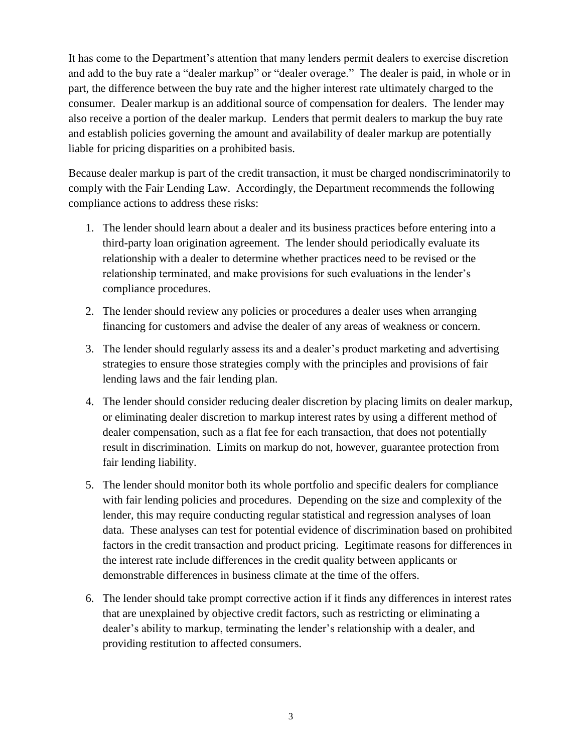It has come to the Department's attention that many lenders permit dealers to exercise discretion and add to the buy rate a "dealer markup" or "dealer overage." The dealer is paid, in whole or in part, the difference between the buy rate and the higher interest rate ultimately charged to the consumer. Dealer markup is an additional source of compensation for dealers. The lender may also receive a portion of the dealer markup. Lenders that permit dealers to markup the buy rate and establish policies governing the amount and availability of dealer markup are potentially liable for pricing disparities on a prohibited basis.

Because dealer markup is part of the credit transaction, it must be charged nondiscriminatorily to comply with the Fair Lending Law. Accordingly, the Department recommends the following compliance actions to address these risks:

- 1. The lender should learn about a dealer and its business practices before entering into a third-party loan origination agreement. The lender should periodically evaluate its relationship with a dealer to determine whether practices need to be revised or the relationship terminated, and make provisions for such evaluations in the lender's compliance procedures.
- 2. The lender should review any policies or procedures a dealer uses when arranging financing for customers and advise the dealer of any areas of weakness or concern.
- 3. The lender should regularly assess its and a dealer's product marketing and advertising strategies to ensure those strategies comply with the principles and provisions of fair lending laws and the fair lending plan.
- 4. The lender should consider reducing dealer discretion by placing limits on dealer markup, or eliminating dealer discretion to markup interest rates by using a different method of dealer compensation, such as a flat fee for each transaction, that does not potentially result in discrimination. Limits on markup do not, however, guarantee protection from fair lending liability.
- 5. The lender should monitor both its whole portfolio and specific dealers for compliance with fair lending policies and procedures. Depending on the size and complexity of the lender, this may require conducting regular statistical and regression analyses of loan data. These analyses can test for potential evidence of discrimination based on prohibited factors in the credit transaction and product pricing. Legitimate reasons for differences in the interest rate include differences in the credit quality between applicants or demonstrable differences in business climate at the time of the offers.
- 6. The lender should take prompt corrective action if it finds any differences in interest rates that are unexplained by objective credit factors, such as restricting or eliminating a dealer's ability to markup, terminating the lender's relationship with a dealer, and providing restitution to affected consumers.